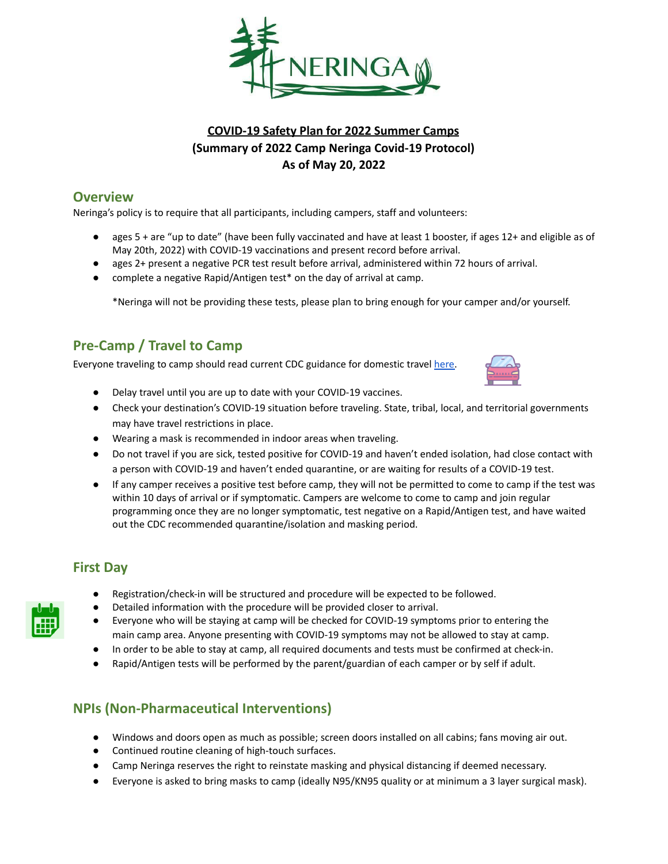

# **COVID-19 Safety Plan for 2022 Summer Camps (Summary of 2022 Camp Neringa Covid-19 Protocol) As of May 20, 2022**

# **Overview**

Neringa's policy is to require that all participants, including campers, staff and volunteers:

- ages 5 + are "up to date" (have been fully vaccinated and have at least 1 booster, if ages 12+ and eligible as of May 20th, 2022) with COVID-19 vaccinations and present record before arrival.
- ages 2+ present a negative PCR test result before arrival, administered within 72 hours of arrival.
- complete a negative Rapid/Antigen test\* on the day of arrival at camp.

\*Neringa will not be providing these tests, please plan to bring enough for your camper and/or yourself.

# **Pre-Camp / Travel to Camp**

Everyone traveling to camp should read current CDC guidance for domestic travel here.



- Delay travel until you are up to date with your COVID-19 vaccines.
- Check your destination's COVID-19 situation before traveling. State, tribal, local, and territorial governments may have travel restrictions in place.
- Wearing a mask is recommended in indoor areas when traveling.
- Do not travel if you are sick, tested positive for COVID-19 and haven't ended isolation, had close contact with a person with COVID-19 and haven't ended quarantine, or are waiting for results of a COVID-19 test.
- If any camper receives a positive test before camp, they will not be permitted to come to camp if the test was within 10 days of arrival or if symptomatic. Campers are welcome to come to camp and join regular programming once they are no longer symptomatic, test negative on a Rapid/Antigen test, and have waited out the CDC recommended quarantine/isolation and masking period.

## **First Day**

- Registration/check-in will be structured and procedure will be expected to be followed.
- Detailed information with the procedure will be provided closer to arrival.
- Everyone who will be staying at camp will be checked for COVID-19 symptoms prior to entering the main camp area. Anyone presenting with COVID-19 symptoms may not be allowed to stay at camp.
- In order to be able to stay at camp, all required documents and tests must be confirmed at check-in.
- Rapid/Antigen tests will be performed by the parent/guardian of each camper or by self if adult.

# **NPIs (Non-Pharmaceutical Interventions)**

- Windows and doors open as much as possible; screen doors installed on all cabins; fans moving air out.
- Continued routine cleaning of high-touch surfaces.
- Camp Neringa reserves the right to reinstate masking and physical distancing if deemed necessary.
- Everyone is asked to bring masks to camp (ideally N95/KN95 quality or at minimum a 3 layer surgical mask).